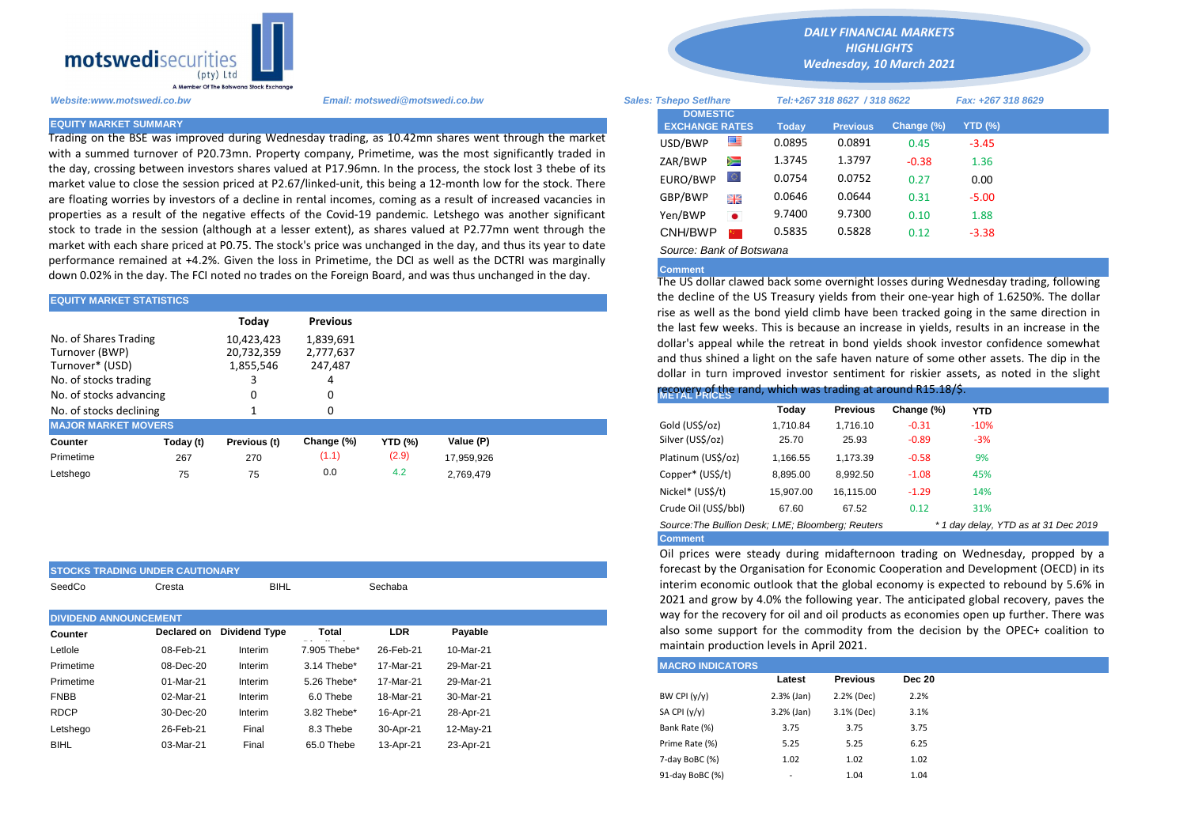

**STOCKS TRADING UNDER CAUTIONARY**

Trading on the BSE was improved during Wednesday trading, as 10.42mn shares went through the market with a summed turnover of P20.73mn. Property company, Primetime, was the most significantly traded in the day, crossing between investors shares valued at P17.96mn. In the process, the stock lost 3 thebe of its market value to close the session priced at P2.67/linked-unit, this being a 12-month low for the stock. There are floating worries by investors of a decline in rental incomes, coming as a result of increased vacancies in properties as a result of the negative effects of the Covid-19 pandemic. Letshego was another significant stock to trade in the session (although at a lesser extent), as shares valued at P2.77mn went through the market with each share priced at P0.75. The stock's price was unchanged in the day, and thus its year to date performance remained at +4.2%. Given the loss in Primetime, the DCI as well as the DCTRI was marginally down 0.02% in the day. The FCI noted no trades on the Foreign Board, and was thus unchanged in the day.

| <b>EQUITY MARKET STATISTICS</b>                                                                                |           |                                                                            |                 | the decline of the OS Treasury yields from their one-year high of 1.0.<br>rise as well as the bond yield climb have been tracked going in the s |            |                    |                                                                                                                                                                                                                                                                                                                                                                      |                 |            |            |  |  |
|----------------------------------------------------------------------------------------------------------------|-----------|----------------------------------------------------------------------------|-----------------|-------------------------------------------------------------------------------------------------------------------------------------------------|------------|--------------------|----------------------------------------------------------------------------------------------------------------------------------------------------------------------------------------------------------------------------------------------------------------------------------------------------------------------------------------------------------------------|-----------------|------------|------------|--|--|
|                                                                                                                |           | Today                                                                      | <b>Previous</b> |                                                                                                                                                 |            |                    |                                                                                                                                                                                                                                                                                                                                                                      |                 |            |            |  |  |
| No. of Shares Trading<br>Turnover (BWP)<br>Turnover* (USD)<br>No. of stocks trading<br>No. of stocks advancing |           | 1,839,691<br>10,423,423<br>20,732,359<br>2,777,637<br>1,855,546<br>247,487 |                 |                                                                                                                                                 |            |                    | the last few weeks. This is because an increase in yields, results in ar<br>dollar's appeal while the retreat in bond yields shook investor confict<br>and thus shined a light on the safe haven nature of some other asset<br>dollar in turn improved investor sentiment for riskier assets, as not<br>recovery of the rand, which was trading at around R15.18/\$. |                 |            |            |  |  |
| No. of stocks declining                                                                                        |           |                                                                            |                 |                                                                                                                                                 |            |                    | Today                                                                                                                                                                                                                                                                                                                                                                | <b>Previous</b> | Change (%) | <b>YTD</b> |  |  |
| <b>MAJOR MARKET MOVERS</b>                                                                                     |           |                                                                            |                 |                                                                                                                                                 |            | Gold (US\$/oz)     | 1,710.84                                                                                                                                                                                                                                                                                                                                                             | 1.716.10        | $-0.31$    | $-10%$     |  |  |
| <b>Counter</b>                                                                                                 | Today (t) | Previous (t)                                                               | Change (%)      | <b>YTD (%)</b>                                                                                                                                  | Value (P)  | Silver (US\$/oz)   | 25.70                                                                                                                                                                                                                                                                                                                                                                | 25.93           | $-0.89$    | $-3%$      |  |  |
| Primetime                                                                                                      | 267       | 270                                                                        | (1.1)           | (2.9)                                                                                                                                           | 17,959,926 | Platinum (US\$/oz) | 1,166.55                                                                                                                                                                                                                                                                                                                                                             | 1.173.39        | $-0.58$    | 9%         |  |  |
| Letshego                                                                                                       | 75        | 75                                                                         | 0.0             | 4.2                                                                                                                                             | 2,769,479  | Copper* (US\$/t)   | 8,895.00                                                                                                                                                                                                                                                                                                                                                             | 8,992.50        | $-1.08$    | 45%        |  |  |

| SeedCo                       | Cresta      | <b>BIHL</b>          |              | Sechaba   |           |                                                        | interim economic outlook that the global economy is<br>2021 and grow by 4.0% the following year. The antic |               |  |  |  |  |  |
|------------------------------|-------------|----------------------|--------------|-----------|-----------|--------------------------------------------------------|------------------------------------------------------------------------------------------------------------|---------------|--|--|--|--|--|
| <b>DIVIDEND ANNOUNCEMENT</b> |             |                      |              |           |           | way for the recovery for oil and oil products as econd |                                                                                                            |               |  |  |  |  |  |
| <b>Counter</b>               | Declared on | <b>Dividend Type</b> | Total        | LDR       | Payable   | also some support for the commodity from the de-       |                                                                                                            |               |  |  |  |  |  |
| Letlole                      | 08-Feb-21   | Interim              | 7.905 Thebe* | 26-Feb-21 | 10-Mar-21 | maintain production levels in April 2021.              |                                                                                                            |               |  |  |  |  |  |
| Primetime                    | 08-Dec-20   | Interim              | 3.14 Thebe*  | 17-Mar-21 | 29-Mar-21 | <b>MACRO INDICATORS</b>                                |                                                                                                            |               |  |  |  |  |  |
| Primetime                    | 01-Mar-21   | Interim              | 5.26 Thebe*  | 17-Mar-21 | 29-Mar-21 | Latest                                                 | <b>Previous</b>                                                                                            | <b>Dec 20</b> |  |  |  |  |  |
| <b>FNBB</b>                  | 02-Mar-21   | Interim              | 6.0 Thebe    | 18-Mar-21 | 30-Mar-21 | BW CPI $(y/y)$<br>$2.3%$ (Jan)                         | 2.2% (Dec)                                                                                                 | 2.2%          |  |  |  |  |  |
| <b>RDCP</b>                  | 30-Dec-20   | Interim              | 3.82 Thebe*  | 16-Apr-21 | 28-Apr-21 | SA CPI (y/y)<br>$3.2%$ (Jan)                           | 3.1% (Dec)                                                                                                 | 3.1%          |  |  |  |  |  |
| Letshego                     | 26-Feb-21   | Final                | 8.3 Thebe    | 30-Apr-21 | 12-May-21 | Bank Rate (%)<br>3.75                                  | 3.75                                                                                                       | 3.75          |  |  |  |  |  |
| <b>BIHL</b>                  | 03-Mar-21   | Final                | 65.0 Thebe   | 13-Apr-21 | 23-Apr-21 | Prime Rate (%)<br>5.25                                 | 5.25                                                                                                       | 6.25          |  |  |  |  |  |

*DAILY FINANCIAL MARKETS HIGHLIGHTS*

*Wednesday, 10 March 2021* 

| Website:www.motswedi.co.bw   | Email: motswedi@motswedi.co.bw                                                                                                                                                                                        | <b>Sales: Tshepo Setlhare</b>            |           |              | Tel:+267 318 8627 / 318 8622 |            | Fax: +267 318 8629 |  |
|------------------------------|-----------------------------------------------------------------------------------------------------------------------------------------------------------------------------------------------------------------------|------------------------------------------|-----------|--------------|------------------------------|------------|--------------------|--|
| <b>EQUITY MARKET SUMMARY</b> |                                                                                                                                                                                                                       | <b>DOMESTIC</b><br><b>EXCHANGE RATES</b> |           | <b>Today</b> | <b>Previous</b>              | Change (%) | <b>YTD (%)</b>     |  |
|                              | Trading on the BSE was improved during Wednesday trading, as 10.42mn shares went through the market                                                                                                                   | USD/BWP                                  | ≝         | 0.0895       | 0.0891                       | 0.45       | $-3.45$            |  |
|                              | with a summed turnover of P20.73mn. Property company, Primetime, was the most significantly traded in<br>the day, crossing between investors shares valued at P17.96mn. In the process, the stock lost 3 thebe of its | ZAR/BWP                                  | Ň         | 1.3745       | 1.3797                       | $-0.38$    | 1.36               |  |
|                              | market value to close the session priced at P2.67/linked-unit, this being a 12-month low for the stock. There                                                                                                         | EURO/BWP                                 | LO.       | 0.0754       | 0.0752                       | 0.27       | 0.00               |  |
|                              | are floating worries by investors of a decline in rental incomes, coming as a result of increased vacancies in                                                                                                        | GBP/BWP                                  | 꾉뜭        | 0.0646       | 0.0644                       | 0.31       | $-5.00$            |  |
|                              | properties as a result of the negative effects of the Covid-19 pandemic. Letshego was another significant                                                                                                             | Yen/BWP                                  | $\bullet$ | 9.7400       | 9.7300                       | 0.10       | 1.88               |  |
|                              | stock to trade in the session (although at a lesser extent), as shares valued at P2.77mn went through the                                                                                                             | CNH/BWP                                  |           | 0.5835       | 0.5828                       | 0.12       | $-3.38$            |  |
|                              | market with each share priced at P0.75. The stock's price was unchanged in the day, and thus its year to date                                                                                                         | Source: Bank of Botswana                 |           |              |                              |            |                    |  |

## **Comment**

The US dollar clawed back some overnight losses during Wednesday trading, following the decline of the US Treasury yields from their one-year high of 1.6250%. The dollar rise as well as the bond yield climb have been tracked going in the same direction in the last few weeks. This is because an increase in yields, results in an increase in the dollar's appeal while the retreat in bond yields shook investor confidence somewhat and thus shined a light on the safe haven nature of some other assets. The dip in the dollar in turn improved investor sentiment for riskier assets, as noted in the slight

## recovery of the rand, which was trading at around R15.18/\$.

|                                                   | Today     | <b>Previous</b> | Change (%) | YTD.   |                                      |
|---------------------------------------------------|-----------|-----------------|------------|--------|--------------------------------------|
| Gold (US\$/oz)                                    | 1,710.84  | 1,716.10        | $-0.31$    | $-10%$ |                                      |
| Silver (US\$/oz)                                  | 25.70     | 25.93           | $-0.89$    | $-3%$  |                                      |
| Platinum (US\$/oz)                                | 1,166.55  | 1,173.39        | $-0.58$    | 9%     |                                      |
| Copper* (US\$/t)                                  | 8,895.00  | 8,992.50        | $-1.08$    | 45%    |                                      |
| Nickel* (US\$/t)                                  | 15,907.00 | 16,115.00       | $-1.29$    | 14%    |                                      |
| Crude Oil (US\$/bbl)                              | 67.60     | 67.52           | 0.12       | 31%    |                                      |
| Source: The Bullion Desk: LME: Bloomberg: Reuters |           |                 |            |        | * 1 day delay, YTD as at 31 Dec 2019 |
| <b>Comment</b>                                    |           |                 |            |        |                                      |

Oil prices were steady during midafternoon trading on Wednesday, propped by a forecast by the Organisation for Economic Cooperation and Development (OECD) in its interim economic outlook that the global economy is expected to rebound by 5.6% in 2021 and grow by 4.0% the following year. The anticipated global recovery, paves the way for the recovery for oil and oil products as economies open up further. There was also some support for the commodity from the decision by the OPEC+ coalition to maintain production levels in April 2021.

| <b>MACRO INDICATORS</b> |                          |                 |               |
|-------------------------|--------------------------|-----------------|---------------|
|                         | Latest                   | <b>Previous</b> | <b>Dec 20</b> |
| BW CPI $(y/y)$          | $2.3%$ (Jan)             | 2.2% (Dec)      | 2.2%          |
| SA CPI $(y/y)$          | $3.2%$ (Jan)             | 3.1% (Dec)      | 3.1%          |
| Bank Rate (%)           | 3.75                     | 3.75            | 3.75          |
| Prime Rate (%)          | 5.25                     | 5.25            | 6.25          |
| 7-day BoBC (%)          | 1.02                     | 1.02            | 1.02          |
| 91-day BoBC (%)         | $\overline{\phantom{a}}$ | 1.04            | 1.04          |